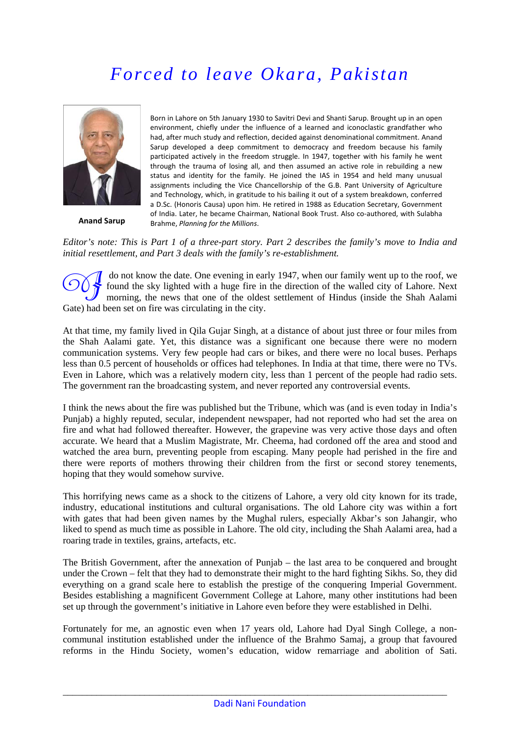# *Forced to leave Okara, Pakistan*



**Anand Sarup**

Born in Lahore on 5th January 1930 to Savitri Devi and Shanti Sarup. Brought up in an open environment, chiefly under the influence of a learned and iconoclastic grandfather who had, after much study and reflection, decided against denominational commitment. Anand Sarup developed a deep commitment to democracy and freedom because his family participated actively in the freedom struggle. In 1947, together with his family he went through the trauma of losing all, and then assumed an active role in rebuilding a new status and identity for the family. He joined the IAS in 1954 and held many unusual assignments including the Vice Chancellorship of the G.B. Pant University of Agriculture and Technology, which, in gratitude to his bailing it out of a system breakdown, conferred a D.Sc. (Honoris Causa) upon him. He retired in 1988 as Education Secretary, Government of India. Later, he became Chairman, National Book Trust. Also co‐authored, with Sulabha Brahme, *Planning for the Millions*.

#### *Editor's note: This is Part 1 of a three-part story. Part 2 describes the family's move to India and initial resettlement, and Part 3 deals with the family's re-establishment.*

 do not know the date. One evening in early 1947, when our family went up to the roof, we found the sky lighted with a huge fire in the direction of the walled city of Lahore. Next morning, the news that one of the oldest settlement of Hindus (inside the Shah Aalami Gate) had been set on fire was circulating in the city.

At that time, my family lived in Qila Gujar Singh, at a distance of about just three or four miles from the Shah Aalami gate. Yet, this distance was a significant one because there were no modern communication systems. Very few people had cars or bikes, and there were no local buses. Perhaps less than 0.5 percent of households or offices had telephones. In India at that time, there were no TVs. Even in Lahore, which was a relatively modern city, less than 1 percent of the people had radio sets. The government ran the broadcasting system, and never reported any controversial events.

I think the news about the fire was published but the Tribune, which was (and is even today in India's Punjab) a highly reputed, secular, independent newspaper, had not reported who had set the area on fire and what had followed thereafter. However, the grapevine was very active those days and often accurate. We heard that a Muslim Magistrate, Mr. Cheema, had cordoned off the area and stood and watched the area burn, preventing people from escaping. Many people had perished in the fire and there were reports of mothers throwing their children from the first or second storey tenements, hoping that they would somehow survive.

This horrifying news came as a shock to the citizens of Lahore, a very old city known for its trade, industry, educational institutions and cultural organisations. The old Lahore city was within a fort with gates that had been given names by the Mughal rulers, especially Akbar's son Jahangir, who liked to spend as much time as possible in Lahore. The old city, including the Shah Aalami area, had a roaring trade in textiles, grains, artefacts, etc.

The British Government, after the annexation of Punjab – the last area to be conquered and brought under the Crown – felt that they had to demonstrate their might to the hard fighting Sikhs. So, they did everything on a grand scale here to establish the prestige of the conquering Imperial Government. Besides establishing a magnificent Government College at Lahore, many other institutions had been set up through the government's initiative in Lahore even before they were established in Delhi.

Fortunately for me, an agnostic even when 17 years old, Lahore had Dyal Singh College, a noncommunal institution established under the influence of the Brahmo Samaj, a group that favoured reforms in the Hindu Society, women's education, widow remarriage and abolition of Sati.

\_\_\_\_\_\_\_\_\_\_\_\_\_\_\_\_\_\_\_\_\_\_\_\_\_\_\_\_\_\_\_\_\_\_\_\_\_\_\_\_\_\_\_\_\_\_\_\_\_\_\_\_\_\_\_\_\_\_\_\_\_\_\_\_\_\_\_\_\_\_\_\_\_\_\_\_\_\_\_\_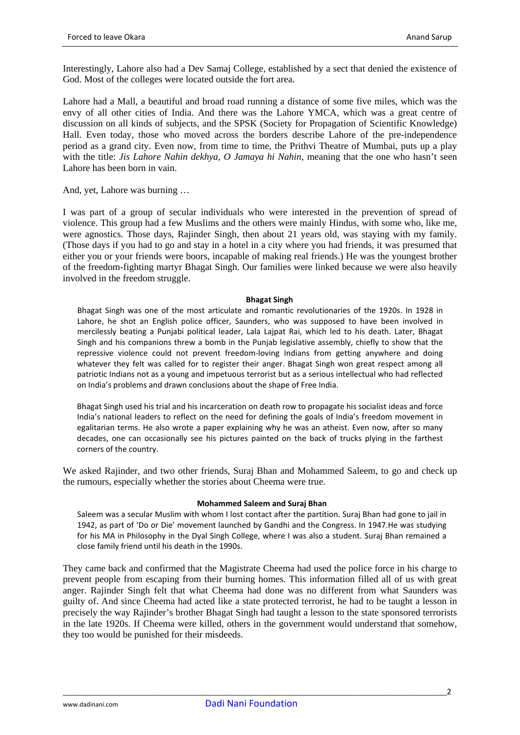Interestingly, Lahore also had a Dev Samaj College, established by a sect that denied the existence of God. Most of the colleges were located outside the fort area.

Lahore had a Mall, a beautiful and broad road running a distance of some five miles, which was the envy of all other cities of India. And there was the Lahore YMCA, which was a great centre of discussion on all kinds of subjects, and the SPSK (Society for Propagation of Scientific Knowledge) Hall. Even today, those who moved across the borders describe Lahore of the pre-independence period as a grand city. Even now, from time to time, the Prithvi Theatre of Mumbai, puts up a play with the title: *Jis Lahore Nahin dekhya, O Jamaya hi Nahin*, meaning that the one who hasn't seen Lahore has been born in vain.

And, yet, Lahore was burning …

I was part of a group of secular individuals who were interested in the prevention of spread of violence. This group had a few Muslims and the others were mainly Hindus, with some who, like me, were agnostics. Those days, Rajinder Singh, then about 21 years old, was staying with my family. (Those days if you had to go and stay in a hotel in a city where you had friends, it was presumed that either you or your friends were boors, incapable of making real friends.) He was the youngest brother of the freedom-fighting martyr Bhagat Singh. Our families were linked because we were also heavily involved in the freedom struggle.

#### **Bhagat Singh**

Bhagat Singh was one of the most articulate and romantic revolutionaries of the 1920s. In 1928 in Lahore, he shot an English police officer, Saunders, who was supposed to have been involved in mercilessly beating a Punjabi political leader, Lala Lajpat Rai, which led to his death. Later, Bhagat Singh and his companions threw a bomb in the Punjab legislative assembly, chiefly to show that the repressive violence could not prevent freedom-loving Indians from getting anywhere and doing whatever they felt was called for to register their anger. Bhagat Singh won great respect among all patriotic Indians not as a young and impetuous terrorist but as a serious intellectual who had reflected on India's problems and drawn conclusions about the shape of Free India.

Bhagat Singh used his trial and his incarceration on death row to propagate his socialist ideas and force India's national leaders to reflect on the need for defining the goals of India's freedom movement in egalitarian terms. He also wrote a paper explaining why he was an atheist. Even now, after so many decades, one can occasionally see his pictures painted on the back of trucks plying in the farthest corners of the country.

We asked Rajinder, and two other friends, Suraj Bhan and Mohammed Saleem, to go and check up the rumours, especially whether the stories about Cheema were true.

# **Mohammed Saleem and Suraj Bhan**

Saleem was a secular Muslim with whom I lost contact after the partition. Suraj Bhan had gone to jail in 1942, as part of 'Do or Die' movement launched by Gandhi and the Congress. In 1947.He was studying for his MA in Philosophy in the Dyal Singh College, where I was also a student. Suraj Bhan remained a close family friend until his death in the 1990s.

They came back and confirmed that the Magistrate Cheema had used the police force in his charge to prevent people from escaping from their burning homes. This information filled all of us with great anger. Rajinder Singh felt that what Cheema had done was no different from what Saunders was guilty of. And since Cheema had acted like a state protected terrorist, he had to be taught a lesson in precisely the way Rajinder's brother Bhagat Singh had taught a lesson to the state sponsored terrorists in the late 1920s. If Cheema were killed, others in the government would understand that somehow, they too would be punished for their misdeeds.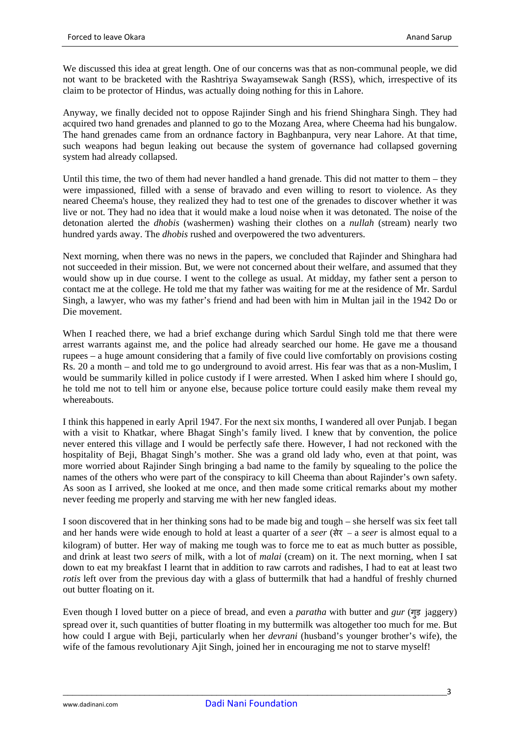We discussed this idea at great length. One of our concerns was that as non-communal people, we did not want to be bracketed with the Rashtriya Swayamsewak Sangh (RSS), which, irrespective of its claim to be protector of Hindus, was actually doing nothing for this in Lahore.

Anyway, we finally decided not to oppose Rajinder Singh and his friend Shinghara Singh. They had acquired two hand grenades and planned to go to the Mozang Area, where Cheema had his bungalow. The hand grenades came from an ordnance factory in Baghbanpura, very near Lahore. At that time, such weapons had begun leaking out because the system of governance had collapsed governing system had already collapsed.

Until this time, the two of them had never handled a hand grenade. This did not matter to them – they were impassioned, filled with a sense of bravado and even willing to resort to violence. As they neared Cheema's house, they realized they had to test one of the grenades to discover whether it was live or not. They had no idea that it would make a loud noise when it was detonated. The noise of the detonation alerted the *dhobis* (washermen) washing their clothes on a *nullah* (stream) nearly two hundred yards away. The *dhobis* rushed and overpowered the two adventurers.

Next morning, when there was no news in the papers, we concluded that Rajinder and Shinghara had not succeeded in their mission. But, we were not concerned about their welfare, and assumed that they would show up in due course. I went to the college as usual. At midday, my father sent a person to contact me at the college. He told me that my father was waiting for me at the residence of Mr. Sardul Singh, a lawyer, who was my father's friend and had been with him in Multan jail in the 1942 Do or Die movement.

When I reached there, we had a brief exchange during which Sardul Singh told me that there were arrest warrants against me, and the police had already searched our home. He gave me a thousand rupees – a huge amount considering that a family of five could live comfortably on provisions costing Rs. 20 a month – and told me to go underground to avoid arrest. His fear was that as a non-Muslim, I would be summarily killed in police custody if I were arrested. When I asked him where I should go, he told me not to tell him or anyone else, because police torture could easily make them reveal my whereabouts.

I think this happened in early April 1947. For the next six months, I wandered all over Punjab. I began with a visit to Khatkar, where Bhagat Singh's family lived. I knew that by convention, the police never entered this village and I would be perfectly safe there. However, I had not reckoned with the hospitality of Beji, Bhagat Singh's mother. She was a grand old lady who, even at that point, was more worried about Rajinder Singh bringing a bad name to the family by squealing to the police the names of the others who were part of the conspiracy to kill Cheema than about Rajinder's own safety. As soon as I arrived, she looked at me once, and then made some critical remarks about my mother never feeding me properly and starving me with her new fangled ideas.

I soon discovered that in her thinking sons had to be made big and tough – she herself was six feet tall and her hands were wide enough to hold at least a quarter of a *seer* (सेर – a *seer* is almost equal to a kilogram) of butter. Her way of making me tough was to force me to eat as much butter as possible, and drink at least two *seers* of milk, with a lot of *malai* (cream) on it. The next morning, when I sat down to eat my breakfast I learnt that in addition to raw carrots and radishes, I had to eat at least two *rotis* left over from the previous day with a glass of buttermilk that had a handful of freshly churned out butter floating on it.

Even though I loved butter on a piece of bread, and even a *paratha* with butter and *gur* (गड़ु jaggery) spread over it, such quantities of butter floating in my buttermilk was altogether too much for me. But how could I argue with Beji, particularly when her *devrani* (husband's younger brother's wife), the wife of the famous revolutionary Ajit Singh, joined her in encouraging me not to starve myself!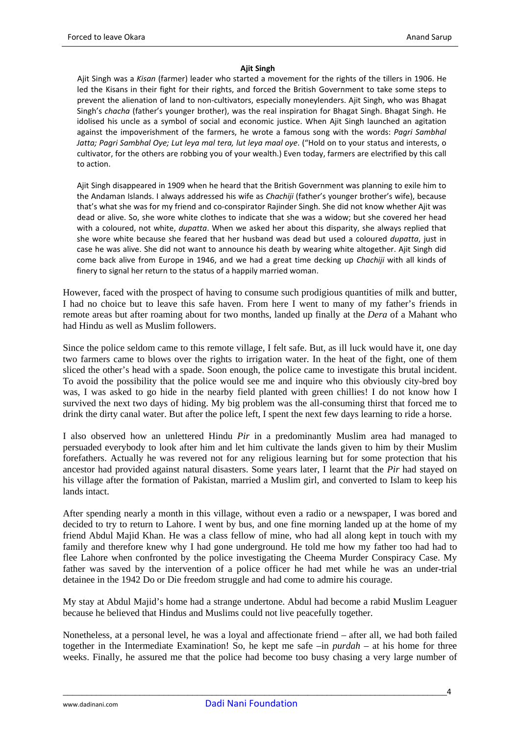#### **Ajit Singh**

Ajit Singh was a *Kisan* (farmer) leader who started a movement for the rights of the tillers in 1906. He led the Kisans in their fight for their rights, and forced the British Government to take some steps to prevent the alienation of land to non-cultivators, especially moneylenders. Ajit Singh, who was Bhagat Singh's *chacha* (father's younger brother), was the real inspiration for Bhagat Singh. Bhagat Singh. He idolised his uncle as a symbol of social and economic justice. When Ajit Singh launched an agitation against the impoverishment of the farmers, he wrote a famous song with the words: *Pagri Sambhal Jatta; Pagri Sambhal Oye; Lut leya mal tera, lut leya maal oye*. ("Hold on to your status and interests, o cultivator, for the others are robbing you of your wealth.) Even today, farmers are electrified by this call to action.

Ajit Singh disappeared in 1909 when he heard that the British Government was planning to exile him to the Andaman Islands. I always addressed his wife as *Chachiji* (father's younger brother's wife), because that's what she was for my friend and co-conspirator Rajinder Singh. She did not know whether Ajit was dead or alive. So, she wore white clothes to indicate that she was a widow; but she covered her head with a coloured, not white, *dupatta*. When we asked her about this disparity, she always replied that she wore white because she feared that her husband was dead but used a coloured *dupatta*, just in case he was alive. She did not want to announce his death by wearing white altogether. Ajit Singh did come back alive from Europe in 1946, and we had a great time decking up *Chachiji* with all kinds of finery to signal her return to the status of a happily married woman.

However, faced with the prospect of having to consume such prodigious quantities of milk and butter, I had no choice but to leave this safe haven. From here I went to many of my father's friends in remote areas but after roaming about for two months, landed up finally at the *Dera* of a Mahant who had Hindu as well as Muslim followers.

Since the police seldom came to this remote village, I felt safe. But, as ill luck would have it, one day two farmers came to blows over the rights to irrigation water. In the heat of the fight, one of them sliced the other's head with a spade. Soon enough, the police came to investigate this brutal incident. To avoid the possibility that the police would see me and inquire who this obviously city-bred boy was, I was asked to go hide in the nearby field planted with green chillies! I do not know how I survived the next two days of hiding. My big problem was the all-consuming thirst that forced me to drink the dirty canal water. But after the police left, I spent the next few days learning to ride a horse.

I also observed how an unlettered Hindu *Pir* in a predominantly Muslim area had managed to persuaded everybody to look after him and let him cultivate the lands given to him by their Muslim forefathers. Actually he was revered not for any religious learning but for some protection that his ancestor had provided against natural disasters. Some years later, I learnt that the *Pir* had stayed on his village after the formation of Pakistan, married a Muslim girl, and converted to Islam to keep his lands intact.

After spending nearly a month in this village, without even a radio or a newspaper, I was bored and decided to try to return to Lahore. I went by bus, and one fine morning landed up at the home of my friend Abdul Majid Khan. He was a class fellow of mine, who had all along kept in touch with my family and therefore knew why I had gone underground. He told me how my father too had had to flee Lahore when confronted by the police investigating the Cheema Murder Conspiracy Case. My father was saved by the intervention of a police officer he had met while he was an under-trial detainee in the 1942 Do or Die freedom struggle and had come to admire his courage.

My stay at Abdul Majid's home had a strange undertone. Abdul had become a rabid Muslim Leaguer because he believed that Hindus and Muslims could not live peacefully together.

Nonetheless, at a personal level, he was a loyal and affectionate friend – after all, we had both failed together in the Intermediate Examination! So, he kept me safe –in *purdah* – at his home for three weeks. Finally, he assured me that the police had become too busy chasing a very large number of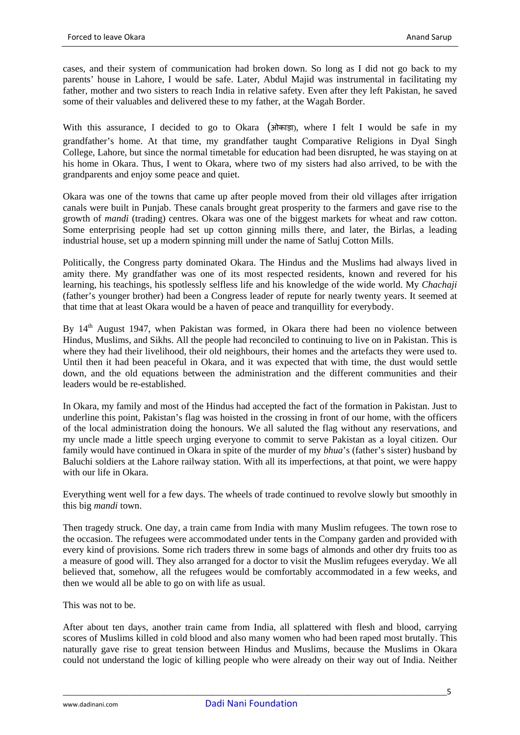cases, and their system of communication had broken down. So long as I did not go back to my parents' house in Lahore, I would be safe. Later, Abdul Majid was instrumental in facilitating my father, mother and two sisters to reach India in relative safety. Even after they left Pakistan, he saved some of their valuables and delivered these to my father, at the Wagah Border.

With this assurance, I decided to go to Okara (ओकाड़ा), where I felt I would be safe in my grandfather's home. At that time, my grandfather taught Comparative Religions in Dyal Singh College, Lahore, but since the normal timetable for education had been disrupted, he was staying on at his home in Okara. Thus, I went to Okara, where two of my sisters had also arrived, to be with the grandparents and enjoy some peace and quiet.

Okara was one of the towns that came up after people moved from their old villages after irrigation canals were built in Punjab. These canals brought great prosperity to the farmers and gave rise to the growth of *mandi* (trading) centres. Okara was one of the biggest markets for wheat and raw cotton. Some enterprising people had set up cotton ginning mills there, and later, the Birlas, a leading industrial house, set up a modern spinning mill under the name of Satluj Cotton Mills.

Politically, the Congress party dominated Okara. The Hindus and the Muslims had always lived in amity there. My grandfather was one of its most respected residents, known and revered for his learning, his teachings, his spotlessly selfless life and his knowledge of the wide world. My *Chachaji* (father's younger brother) had been a Congress leader of repute for nearly twenty years. It seemed at that time that at least Okara would be a haven of peace and tranquillity for everybody.

By 14<sup>th</sup> August 1947, when Pakistan was formed, in Okara there had been no violence between Hindus, Muslims, and Sikhs. All the people had reconciled to continuing to live on in Pakistan. This is where they had their livelihood, their old neighbours, their homes and the artefacts they were used to. Until then it had been peaceful in Okara, and it was expected that with time, the dust would settle down, and the old equations between the administration and the different communities and their leaders would be re-established.

In Okara, my family and most of the Hindus had accepted the fact of the formation in Pakistan. Just to underline this point, Pakistan's flag was hoisted in the crossing in front of our home, with the officers of the local administration doing the honours. We all saluted the flag without any reservations, and my uncle made a little speech urging everyone to commit to serve Pakistan as a loyal citizen. Our family would have continued in Okara in spite of the murder of my *bhua*'s (father's sister) husband by Baluchi soldiers at the Lahore railway station. With all its imperfections, at that point, we were happy with our life in Okara.

Everything went well for a few days. The wheels of trade continued to revolve slowly but smoothly in this big *mandi* town.

Then tragedy struck. One day, a train came from India with many Muslim refugees. The town rose to the occasion. The refugees were accommodated under tents in the Company garden and provided with every kind of provisions. Some rich traders threw in some bags of almonds and other dry fruits too as a measure of good will. They also arranged for a doctor to visit the Muslim refugees everyday. We all believed that, somehow, all the refugees would be comfortably accommodated in a few weeks, and then we would all be able to go on with life as usual.

This was not to be.

After about ten days, another train came from India, all splattered with flesh and blood, carrying scores of Muslims killed in cold blood and also many women who had been raped most brutally. This naturally gave rise to great tension between Hindus and Muslims, because the Muslims in Okara could not understand the logic of killing people who were already on their way out of India. Neither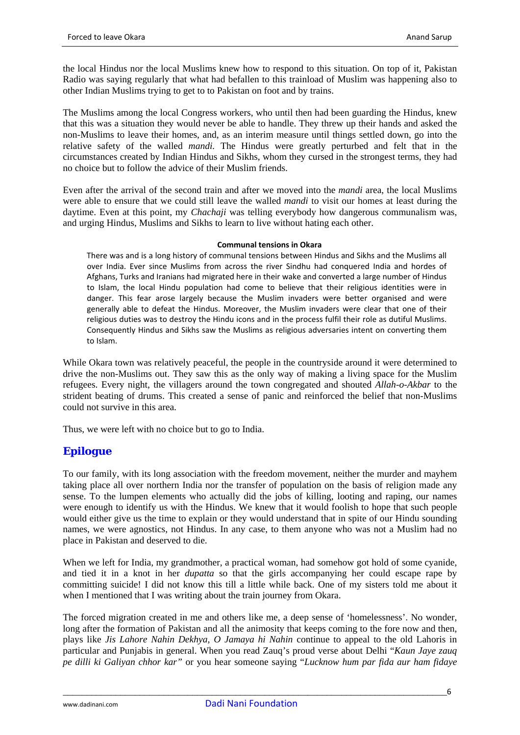the local Hindus nor the local Muslims knew how to respond to this situation. On top of it, Pakistan Radio was saying regularly that what had befallen to this trainload of Muslim was happening also to other Indian Muslims trying to get to to Pakistan on foot and by trains.

The Muslims among the local Congress workers, who until then had been guarding the Hindus, knew that this was a situation they would never be able to handle. They threw up their hands and asked the non-Muslims to leave their homes, and, as an interim measure until things settled down, go into the relative safety of the walled *mandi.* The Hindus were greatly perturbed and felt that in the circumstances created by Indian Hindus and Sikhs, whom they cursed in the strongest terms, they had no choice but to follow the advice of their Muslim friends.

Even after the arrival of the second train and after we moved into the *mandi* area, the local Muslims were able to ensure that we could still leave the walled *mandi* to visit our homes at least during the daytime. Even at this point, my *Chachaji* was telling everybody how dangerous communalism was, and urging Hindus, Muslims and Sikhs to learn to live without hating each other.

#### **Communal tensions in Okara**

There was and is a long history of communal tensions between Hindus and Sikhs and the Muslims all over India. Ever since Muslims from across the river Sindhu had conquered India and hordes of Afghans, Turks and Iranians had migrated here in their wake and converted a large number of Hindus to Islam, the local Hindu population had come to believe that their religious identities were in danger. This fear arose largely because the Muslim invaders were better organised and were generally able to defeat the Hindus. Moreover, the Muslim invaders were clear that one of their religious duties was to destroy the Hindu icons and in the process fulfil their role as dutiful Muslims. Consequently Hindus and Sikhs saw the Muslims as religious adversaries intent on converting them to Islam.

While Okara town was relatively peaceful, the people in the countryside around it were determined to drive the non-Muslims out. They saw this as the only way of making a living space for the Muslim refugees. Every night, the villagers around the town congregated and shouted *Allah-o-Akbar* to the strident beating of drums. This created a sense of panic and reinforced the belief that non-Muslims could not survive in this area.

Thus, we were left with no choice but to go to India.

# *Epilogue*

To our family, with its long association with the freedom movement, neither the murder and mayhem taking place all over northern India nor the transfer of population on the basis of religion made any sense. To the lumpen elements who actually did the jobs of killing, looting and raping, our names were enough to identify us with the Hindus. We knew that it would foolish to hope that such people would either give us the time to explain or they would understand that in spite of our Hindu sounding names, we were agnostics, not Hindus. In any case, to them anyone who was not a Muslim had no place in Pakistan and deserved to die.

When we left for India, my grandmother, a practical woman, had somehow got hold of some cyanide, and tied it in a knot in her *dupatta* so that the girls accompanying her could escape rape by committing suicide! I did not know this till a little while back. One of my sisters told me about it when I mentioned that I was writing about the train journey from Okara.

The forced migration created in me and others like me, a deep sense of 'homelessness'. No wonder, long after the formation of Pakistan and all the animosity that keeps coming to the fore now and then, plays like *Jis Lahore Nahin Dekhya, O Jamaya hi Nahin* continue to appeal to the old Lahoris in particular and Punjabis in general. When you read Zauq's proud verse about Delhi "*Kaun Jaye zauq pe dilli ki Galiyan chhor kar"* or you hear someone saying "*Lucknow hum par fida aur ham fidaye*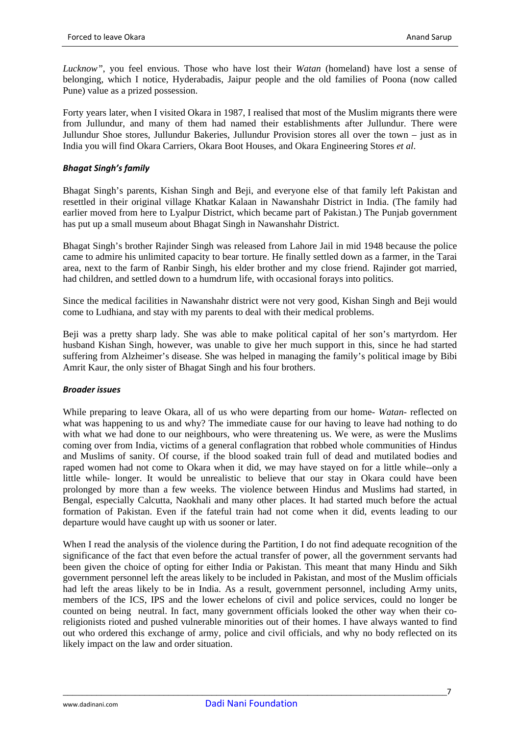*Lucknow"*, you feel envious. Those who have lost their *Watan* (homeland) have lost a sense of belonging, which I notice, Hyderabadis, Jaipur people and the old families of Poona (now called Pune) value as a prized possession.

Forty years later, when I visited Okara in 1987, I realised that most of the Muslim migrants there were from Jullundur, and many of them had named their establishments after Jullundur. There were Jullundur Shoe stores, Jullundur Bakeries, Jullundur Provision stores all over the town – just as in India you will find Okara Carriers, Okara Boot Houses, and Okara Engineering Stores *et al*.

# *Bhagat Singh's family*

Bhagat Singh's parents, Kishan Singh and Beji, and everyone else of that family left Pakistan and resettled in their original village Khatkar Kalaan in Nawanshahr District in India. (The family had earlier moved from here to Lyalpur District, which became part of Pakistan.) The Punjab government has put up a small museum about Bhagat Singh in Nawanshahr District.

Bhagat Singh's brother Rajinder Singh was released from Lahore Jail in mid 1948 because the police came to admire his unlimited capacity to bear torture. He finally settled down as a farmer, in the Tarai area, next to the farm of Ranbir Singh, his elder brother and my close friend. Rajinder got married, had children, and settled down to a humdrum life, with occasional forays into politics.

Since the medical facilities in Nawanshahr district were not very good, Kishan Singh and Beji would come to Ludhiana, and stay with my parents to deal with their medical problems.

Beji was a pretty sharp lady. She was able to make political capital of her son's martyrdom. Her husband Kishan Singh, however, was unable to give her much support in this, since he had started suffering from Alzheimer's disease. She was helped in managing the family's political image by Bibi Amrit Kaur, the only sister of Bhagat Singh and his four brothers.

# *Broader issues*

While preparing to leave Okara, all of us who were departing from our home- *Watan-* reflected on what was happening to us and why? The immediate cause for our having to leave had nothing to do with what we had done to our neighbours, who were threatening us. We were, as were the Muslims coming over from India, victims of a general conflagration that robbed whole communities of Hindus and Muslims of sanity. Of course, if the blood soaked train full of dead and mutilated bodies and raped women had not come to Okara when it did, we may have stayed on for a little while--only a little while- longer. It would be unrealistic to believe that our stay in Okara could have been prolonged by more than a few weeks. The violence between Hindus and Muslims had started, in Bengal, especially Calcutta, Naokhali and many other places. It had started much before the actual formation of Pakistan. Even if the fateful train had not come when it did, events leading to our departure would have caught up with us sooner or later.

When I read the analysis of the violence during the Partition, I do not find adequate recognition of the significance of the fact that even before the actual transfer of power, all the government servants had been given the choice of opting for either India or Pakistan. This meant that many Hindu and Sikh government personnel left the areas likely to be included in Pakistan, and most of the Muslim officials had left the areas likely to be in India. As a result, government personnel, including Army units, members of the ICS, IPS and the lower echelons of civil and police services, could no longer be counted on being neutral. In fact, many government officials looked the other way when their coreligionists rioted and pushed vulnerable minorities out of their homes. I have always wanted to find out who ordered this exchange of army, police and civil officials, and why no body reflected on its likely impact on the law and order situation.